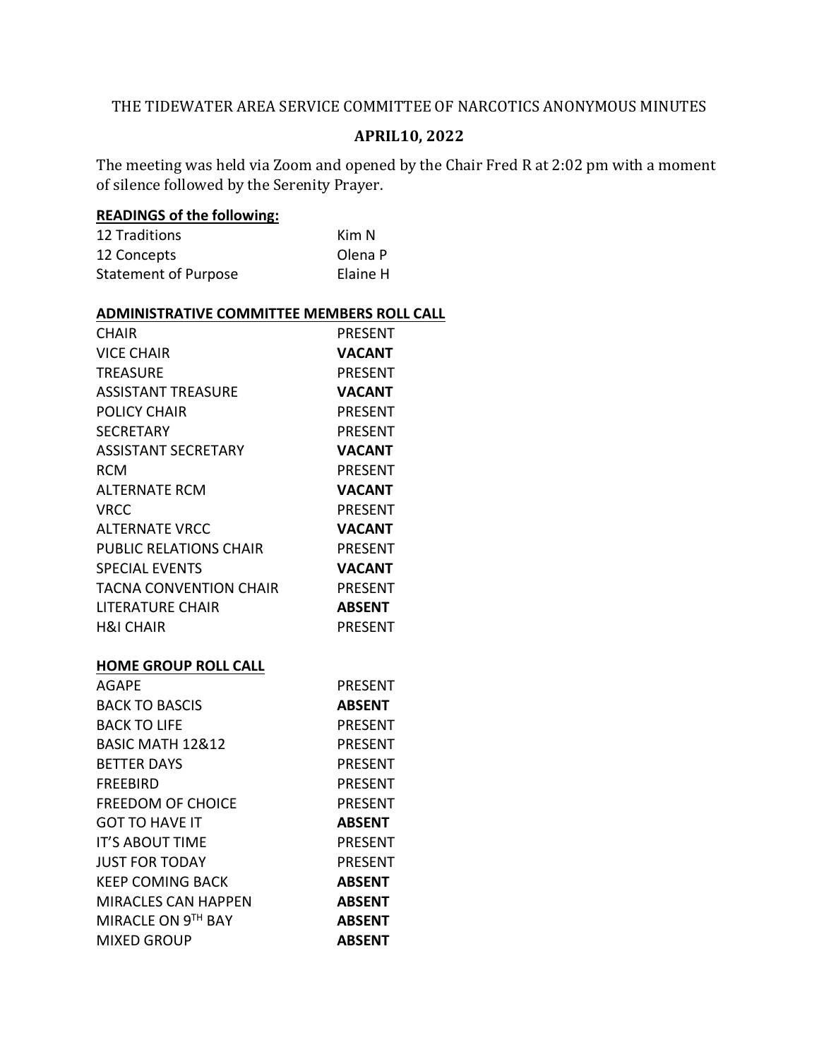## THE TIDEWATER AREA SERVICE COMMITTEE OF NARCOTICS ANONYMOUS MINUTES

## **APRIL10, 2022**

The meeting was held via Zoom and opened by the Chair Fred R at 2:02 pm with a moment of silence followed by the Serenity Prayer.

## **READINGS of the following:**

| <b>12 Traditions</b>        | Kim N    |
|-----------------------------|----------|
| 12 Concepts                 | Olena P  |
| <b>Statement of Purpose</b> | Elaine H |

## **ADMINISTRATIVE COMMITTEE MEMBERS ROLL CALL**

| <b>CHAIR</b>                  | <b>PRESENT</b> |
|-------------------------------|----------------|
| <b>VICE CHAIR</b>             | <b>VACANT</b>  |
| <b>TREASURE</b>               | <b>PRESENT</b> |
| <b>ASSISTANT TREASURE</b>     | <b>VACANT</b>  |
| <b>POLICY CHAIR</b>           | <b>PRESENT</b> |
| <b>SECRETARY</b>              | <b>PRESENT</b> |
| <b>ASSISTANT SECRETARY</b>    | <b>VACANT</b>  |
| <b>RCM</b>                    | <b>PRESENT</b> |
| <b>ALTERNATE RCM</b>          | <b>VACANT</b>  |
| <b>VRCC</b>                   | <b>PRESENT</b> |
| <b>ALTERNATE VRCC</b>         | <b>VACANT</b>  |
| <b>PUBLIC RELATIONS CHAIR</b> | <b>PRESENT</b> |
| <b>SPECIAL EVENTS</b>         | <b>VACANT</b>  |
| <b>TACNA CONVENTION CHAIR</b> | <b>PRESENT</b> |
| <b>LITERATURE CHAIR</b>       | <b>ABSENT</b>  |
| <b>H&amp;I CHAIR</b>          | <b>PRESENT</b> |
|                               |                |
| <b>HOME GROUP ROLL CALL</b>   |                |
| AGAPE                         | <b>PRESENT</b> |
| <b>BACK TO BASCIS</b>         | <b>ABSENT</b>  |
| <b>BACK TO LIFE</b>           | <b>PRESENT</b> |
| BASIC MATH 12&12              | <b>PRESENT</b> |
| <b>BETTER DAYS</b>            | <b>PRESENT</b> |
| <b>FREEBIRD</b>               | <b>PRESENT</b> |
| <b>FREEDOM OF CHOICE</b>      | <b>PRESENT</b> |
| <b>GOT TO HAVE IT</b>         | <b>ABSENT</b>  |
| IT'S ABOUT TIME               | <b>PRESENT</b> |
| <b>JUST FOR TODAY</b>         | <b>PRESENT</b> |
| <b>KEEP COMING BACK</b>       | <b>ABSENT</b>  |
| <b>MIRACLES CAN HAPPEN</b>    | <b>ABSENT</b>  |
| MIRACLE ON 9TH BAY            | <b>ABSENT</b>  |
| <b>MIXED GROUP</b>            | <b>ABSENT</b>  |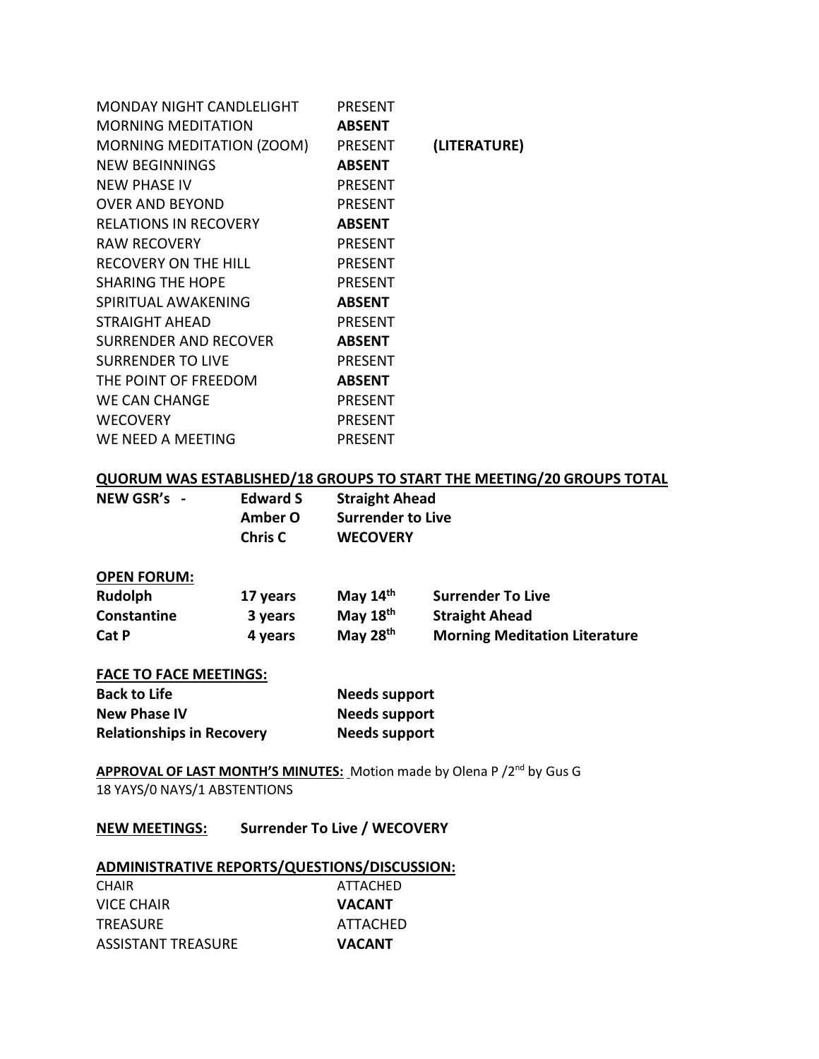| <b>MONDAY NIGHT CANDLELIGHT</b>  | <b>PRESENT</b> |              |
|----------------------------------|----------------|--------------|
| <b>MORNING MEDITATION</b>        | <b>ABSENT</b>  |              |
| <b>MORNING MEDITATION (ZOOM)</b> | <b>PRESENT</b> | (LITERATURE) |
| NEW BEGINNINGS                   | <b>ABSENT</b>  |              |
| NEW PHASE IV                     | <b>PRESENT</b> |              |
| <b>OVER AND BEYOND</b>           | <b>PRESENT</b> |              |
| <b>RELATIONS IN RECOVERY</b>     | <b>ABSENT</b>  |              |
| <b>RAW RECOVERY</b>              | <b>PRESENT</b> |              |
| <b>RECOVERY ON THE HILL</b>      | <b>PRESENT</b> |              |
| <b>SHARING THE HOPE</b>          | <b>PRESENT</b> |              |
| SPIRITUAL AWAKENING              | <b>ABSENT</b>  |              |
| <b>STRAIGHT AHEAD</b>            | <b>PRESENT</b> |              |
| <b>SURRENDER AND RECOVER</b>     | <b>ABSENT</b>  |              |
| <b>SURRENDER TO LIVE</b>         | <b>PRESENT</b> |              |
| THE POINT OF FREEDOM             | <b>ABSENT</b>  |              |
| <b>WE CAN CHANGE</b>             | <b>PRESENT</b> |              |
| <b>WECOVERY</b>                  | <b>PRESENT</b> |              |
| WE NEED A MEETING                | <b>PRESENT</b> |              |

## **QUORUM WAS ESTABLISHED/18 GROUPS TO START THE MEETING/20 GROUPS TOTAL**

| NEW GSR's - | <b>Edward S</b> | <b>Straight Ahead</b> |  |
|-------------|-----------------|-----------------------|--|
|             | Amber O         | Surrender to Live     |  |
|             | <b>Chris C</b>  | <b>WECOVERY</b>       |  |

### **OPEN FORUM:**

| Rudolph      | 17 years | May $14th$ | <b>Surrender To Live</b>             |
|--------------|----------|------------|--------------------------------------|
| Constantine  | 3 years  | May $18th$ | <b>Straight Ahead</b>                |
| <b>Cat P</b> | 4 years  | May $28th$ | <b>Morning Meditation Literature</b> |

### **FACE TO FACE MEETINGS:**

| <b>Back to Life</b>              | <b>Needs support</b> |
|----------------------------------|----------------------|
| <b>New Phase IV</b>              | Needs support        |
| <b>Relationships in Recovery</b> | <b>Needs support</b> |

APPROVAL OF LAST MONTH'S MINUTES: Motion made by Olena P /2<sup>nd</sup> by Gus G 18 YAYS/0 NAYS/1 ABSTENTIONS

**NEW MEETINGS: Surrender To Live / WECOVERY**

## **ADMINISTRATIVE REPORTS/QUESTIONS/DISCUSSION:**

| <b>CHAIR</b>              | ATTACHED      |
|---------------------------|---------------|
| VICE CHAIR                | <b>VACANT</b> |
| <b>TREASURE</b>           | ATTACHED      |
| <b>ASSISTANT TREASURE</b> | VACANT        |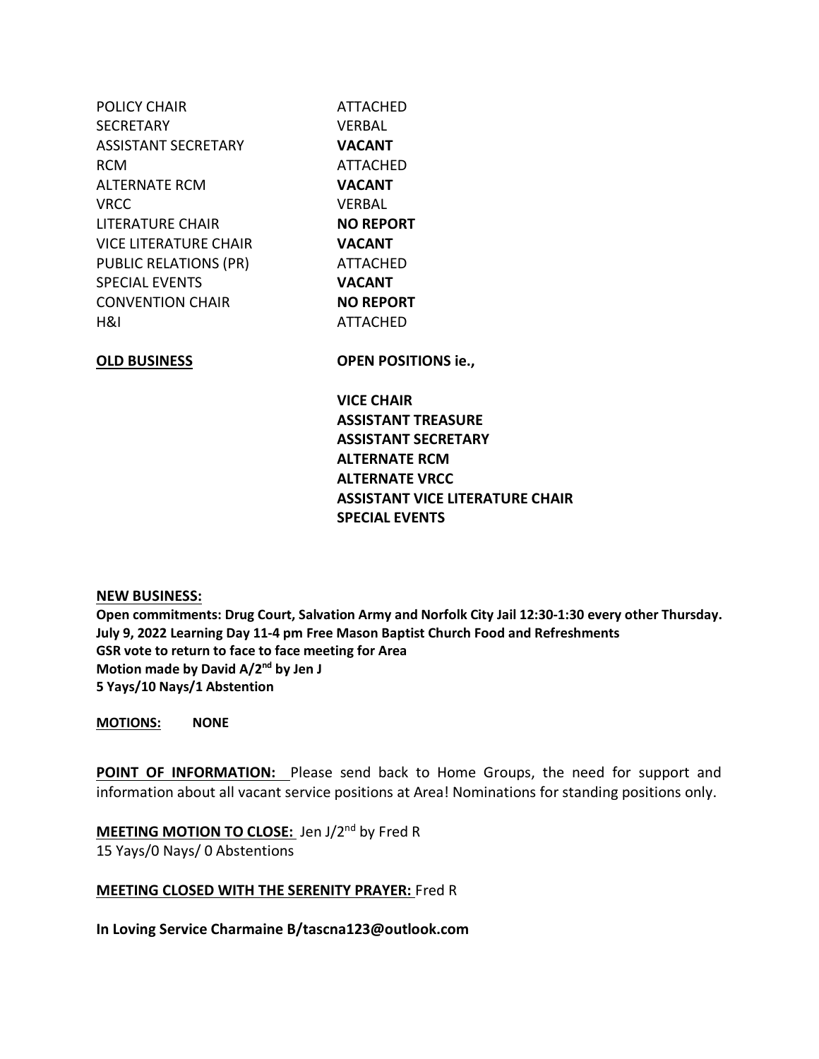| POLICY CHAIR                 | <b>ATTACHED</b>  |
|------------------------------|------------------|
| SECRETARY                    | VERBAL           |
| ASSISTANT SECRETARY          | <b>VACANT</b>    |
| RCM                          | <b>ATTACHED</b>  |
| ALTERNATE RCM                | <b>VACANT</b>    |
| VRCC                         | <b>VERBAL</b>    |
| LITERATURE CHAIR             | <b>NO REPORT</b> |
| VICE LITERATURE CHAIR        | <b>VACANT</b>    |
| <b>PUBLIC RELATIONS (PR)</b> | <b>ATTACHED</b>  |
| <b>SPECIAL EVENTS</b>        | <b>VACANT</b>    |
| CONVENTION CHAIR             | <b>NO REPORT</b> |
| 88 H                         | <b>ATTACHED</b>  |
| ALB BUILDIERA                | ARPLI RAAITI.    |

**OLD BUSINESS OPEN POSITIONS ie.,**

**VICE CHAIR ASSISTANT TREASURE ASSISTANT SECRETARY ALTERNATE RCM ALTERNATE VRCC ASSISTANT VICE LITERATURE CHAIR SPECIAL EVENTS**

## **NEW BUSINESS:**

**Open commitments: Drug Court, Salvation Army and Norfolk City Jail 12:30-1:30 every other Thursday. July 9, 2022 Learning Day 11-4 pm Free Mason Baptist Church Food and Refreshments GSR vote to return to face to face meeting for Area Motion made by David A/2nd by Jen J 5 Yays/10 Nays/1 Abstention**

**MOTIONS: NONE**

**POINT OF INFORMATION:** Please send back to Home Groups, the need for support and information about all vacant service positions at Area! Nominations for standing positions only.

**MEETING MOTION TO CLOSE:** Jen J/2nd by Fred R 15 Yays/0 Nays/ 0 Abstentions

## **MEETING CLOSED WITH THE SERENITY PRAYER:** Fred R

**In Loving Service Charmaine B/tascna123@outlook.com**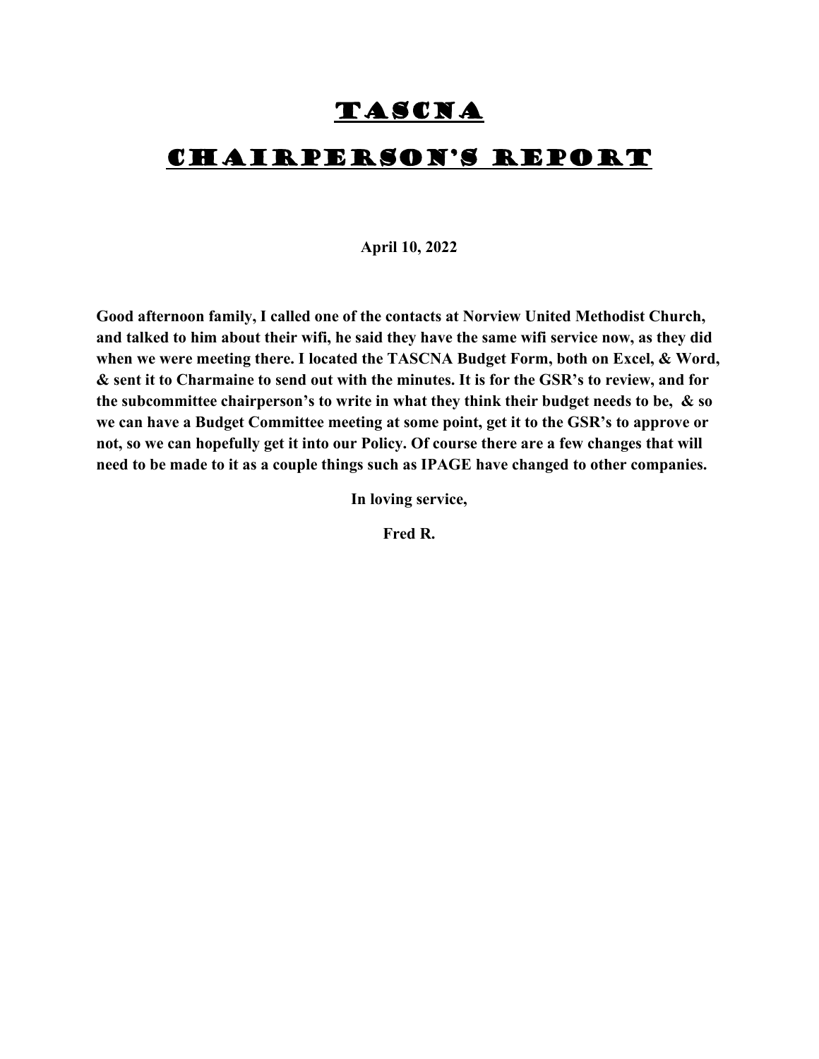## TASCNA

## Chairperson's report

#### **April 10, 2022**

**Good afternoon family, I called one of the contacts at Norview United Methodist Church, and talked to him about their wifi, he said they have the same wifi service now, as they did when we were meeting there. I located the TASCNA Budget Form, both on Excel, & Word, & sent it to Charmaine to send out with the minutes. It is for the GSR's to review, and for the subcommittee chairperson's to write in what they think their budget needs to be, & so we can have a Budget Committee meeting at some point, get it to the GSR's to approve or not, so we can hopefully get it into our Policy. Of course there are a few changes that will need to be made to it as a couple things such as IPAGE have changed to other companies.** 

**In loving service,**

**Fred R.**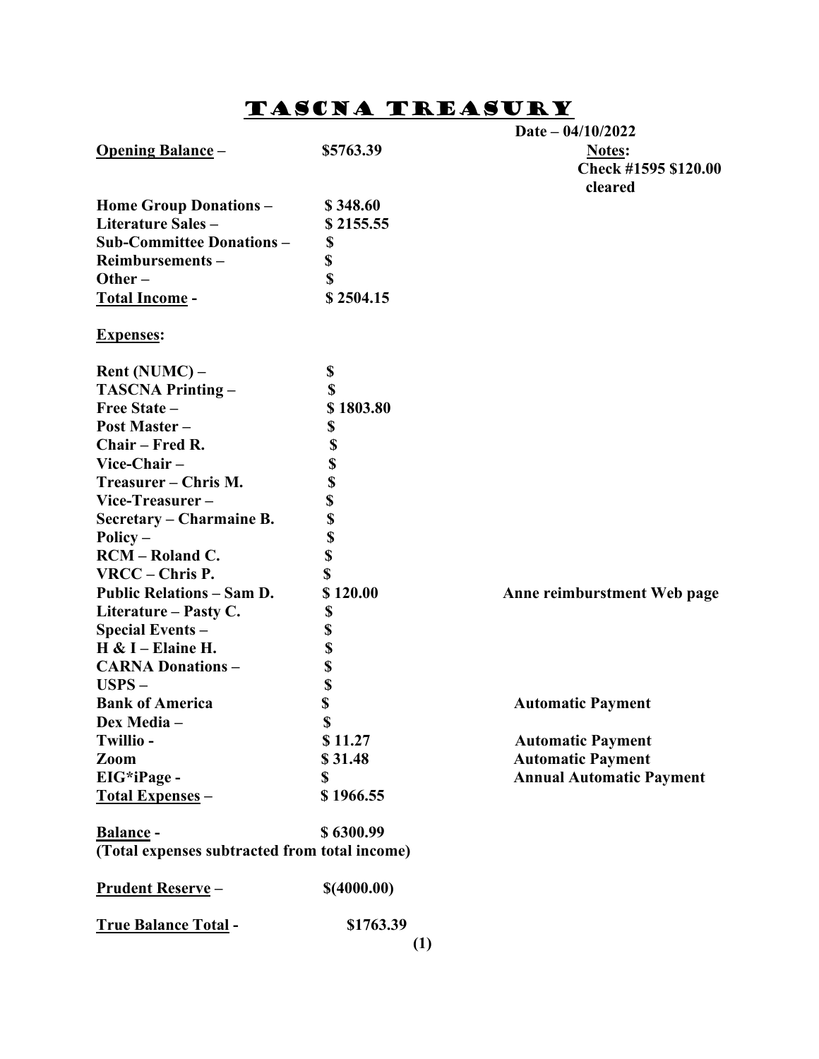## Tascna treasury

|                                               |             | Date $- 04/10/2022$             |
|-----------------------------------------------|-------------|---------------------------------|
| <b>Opening Balance -</b>                      | \$5763.39   | <b>Notes:</b>                   |
|                                               |             | Check #1595 \$120.00            |
|                                               |             | cleared                         |
| <b>Home Group Donations -</b>                 | \$348.60    |                                 |
| Literature Sales-                             | \$2155.55   |                                 |
| <b>Sub-Committee Donations-</b>               | \$          |                                 |
| Reimbursements-                               | \$          |                                 |
| Other $-$                                     | \$          |                                 |
| Total Income -                                | \$2504.15   |                                 |
| <b>Expenses:</b>                              |             |                                 |
| Rent (NUMC) –                                 | \$          |                                 |
| <b>TASCNA Printing -</b>                      | \$          |                                 |
| Free State -                                  | \$1803.80   |                                 |
| <b>Post Master -</b>                          | \$          |                                 |
| Chair - Fred R.                               | \$          |                                 |
| Vice-Chair-                                   | \$          |                                 |
| Treasurer - Chris M.                          | \$          |                                 |
| Vice-Treasurer-                               | \$          |                                 |
| Secretary – Charmaine B.                      | \$          |                                 |
| Policy $-$                                    | \$          |                                 |
| <b>RCM</b> – Roland C.                        | \$          |                                 |
| VRCC - Chris P.                               | \$          |                                 |
| <b>Public Relations - Sam D.</b>              | \$120.00    | Anne reimburstment Web page     |
| Literature – Pasty C.                         | \$          |                                 |
| <b>Special Events -</b>                       | \$          |                                 |
| $H & I -$ Elaine H.                           | \$          |                                 |
| <b>CARNA Donations-</b>                       | \$          |                                 |
| $USPS -$                                      | \$          |                                 |
| <b>Bank of America</b>                        | \$          | <b>Automatic Payment</b>        |
| Dex Media –                                   | \$          |                                 |
| Twillio-                                      | \$11.27     | <b>Automatic Payment</b>        |
| Zoom                                          | \$31.48     | <b>Automatic Payment</b>        |
| EIG*iPage -                                   | \$          | <b>Annual Automatic Payment</b> |
| Total Expenses -                              | \$1966.55   |                                 |
|                                               |             |                                 |
| Balance -                                     | \$6300.99   |                                 |
| (Total expenses subtracted from total income) |             |                                 |
| <b>Prudent Reserve-</b>                       | \$(4000.00) |                                 |
| <b>True Balance Total -</b>                   | \$1763.39   |                                 |
|                                               |             | (1)                             |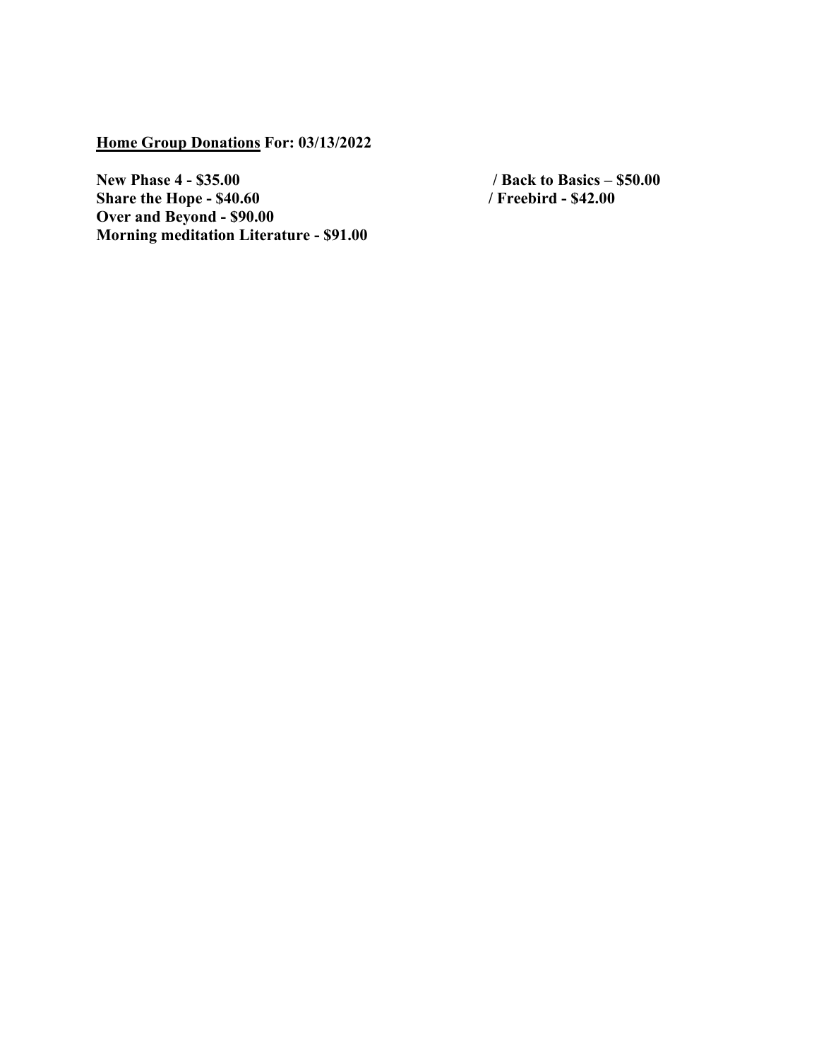**Home Group Donations For: 03/13/2022**

**New Phase 4 - \$35.00** / Back to Basics – \$50.00<br> **Share the Hope - \$40.60** / Freebird - \$42.00 **Share the Hope - \$40.60 / Freebird - \$42.00 Over and Beyond - \$90.00 Morning meditation Literature - \$91.00**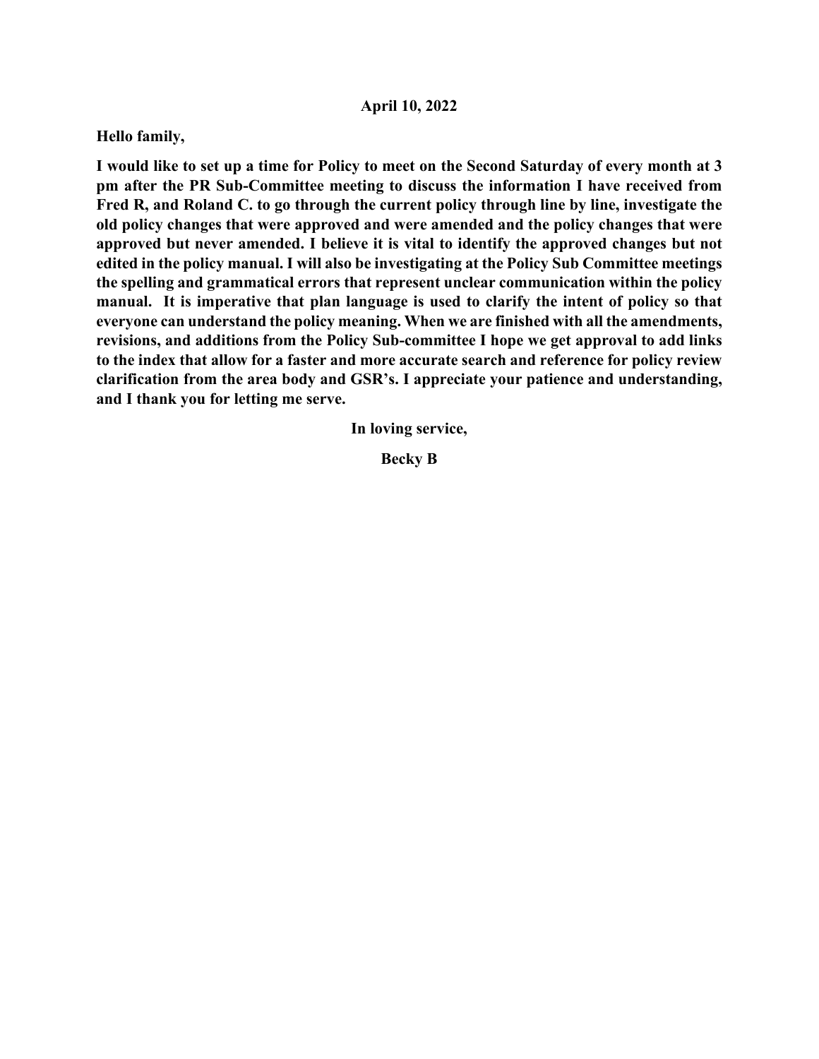## **April 10, 2022**

### **Hello family,**

**I would like to set up a time for Policy to meet on the Second Saturday of every month at 3 pm after the PR Sub-Committee meeting to discuss the information I have received from Fred R, and Roland C. to go through the current policy through line by line, investigate the old policy changes that were approved and were amended and the policy changes that were approved but never amended. I believe it is vital to identify the approved changes but not edited in the policy manual. I will also be investigating at the Policy Sub Committee meetings the spelling and grammatical errors that represent unclear communication within the policy manual. It is imperative that plan language is used to clarify the intent of policy so that everyone can understand the policy meaning. When we are finished with all the amendments, revisions, and additions from the Policy Sub-committee I hope we get approval to add links to the index that allow for a faster and more accurate search and reference for policy review clarification from the area body and GSR's. I appreciate your patience and understanding, and I thank you for letting me serve.**

**In loving service,**

**Becky B**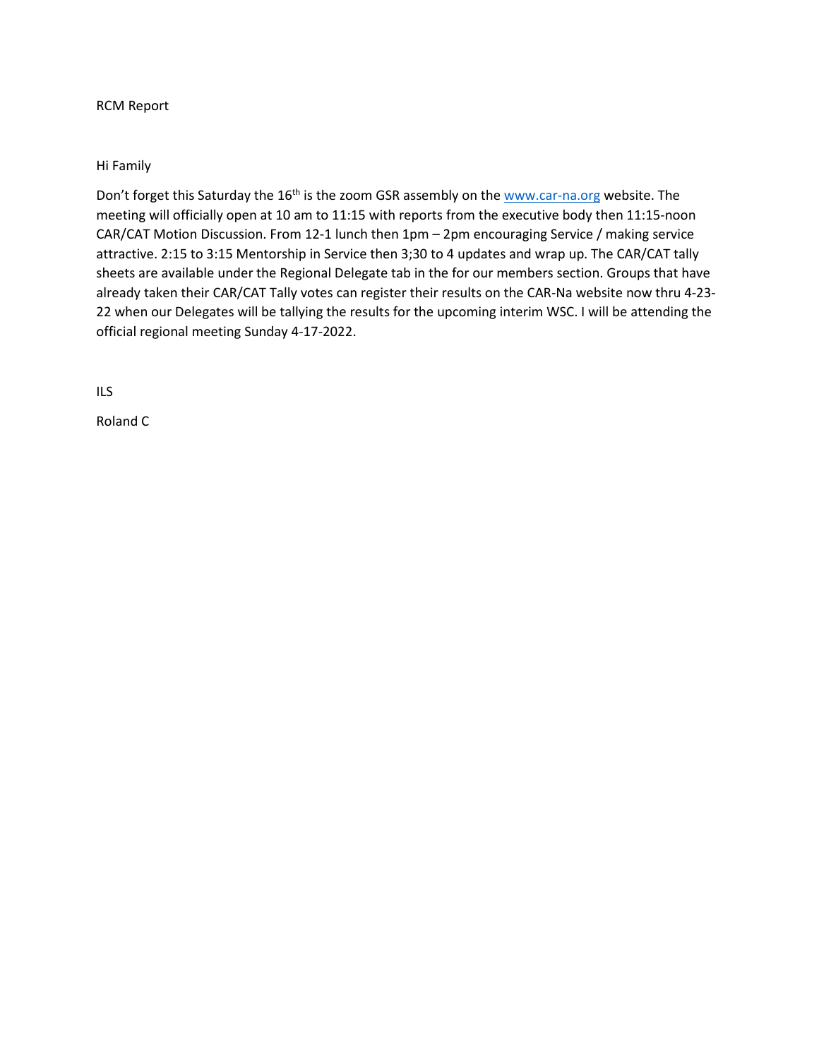#### RCM Report

### Hi Family

Don't forget this Saturday the 16<sup>th</sup> is the zoom GSR assembly on the [www.car-na.org](http://www.car-na.org/) website. The meeting will officially open at 10 am to 11:15 with reports from the executive body then 11:15-noon CAR/CAT Motion Discussion. From 12-1 lunch then 1pm – 2pm encouraging Service / making service attractive. 2:15 to 3:15 Mentorship in Service then 3;30 to 4 updates and wrap up. The CAR/CAT tally sheets are available under the Regional Delegate tab in the for our members section. Groups that have already taken their CAR/CAT Tally votes can register their results on the CAR-Na website now thru 4-23- 22 when our Delegates will be tallying the results for the upcoming interim WSC. I will be attending the official regional meeting Sunday 4-17-2022.

ILS

Roland C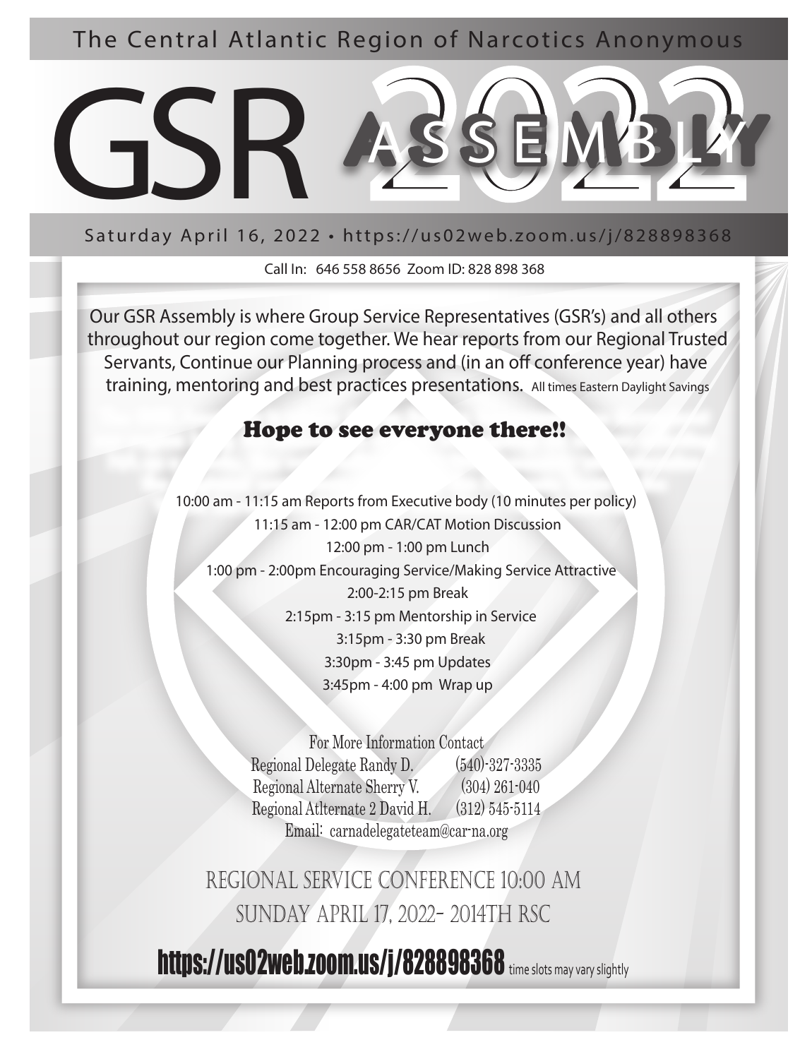The Central Atlantic Region of Narcotics Anonymous



Saturday April 16, 2022 • https://us02web.zoom.us/j/828898368

Call In: 646 558 8656 Zoom ID: 828 898 368

Our GSR Assembly is where Group Service Representatives (GSR's) and all others throughout our region come together. We hear reports from our Regional Trusted Servants, Continue our Planning process and (in an off conference year) have training, mentoring and best practices presentations. All times Eastern Daylight Savings

## Hope to see everyone there!!

10:00 am - 11:15 am Reports from Executive body (10 minutes per policy) 11:15 am - 12:00 pm CAR/CAT Motion Discussion 12:00 pm - 1:00 pm Lunch 1:00 pm - 2:00pm Encouraging Service/Making Service Attractive 2:00-2:15 pm Break 2:15pm - 3:15 pm Mentorship in Service 3:15pm - 3:30 pm Break 3:30pm - 3:45 pm Updates 3:45pm - 4:00 pm Wrap up

> For More Information Contact Regional Delegate Randy D. (540)-327-3335 Regional Alternate Sherry V. (304) 261-040 Regional Atlternate 2 David H. (312) 545-5114 Email: carnadelegateteam@car-na.org

 $\overline{\phantom{a}}$ 

regional service conference 10:00 am sunday april 17, 2022- 2014th rsc

https://us02web.zoom.us/j/828898368 time slots may vary slightly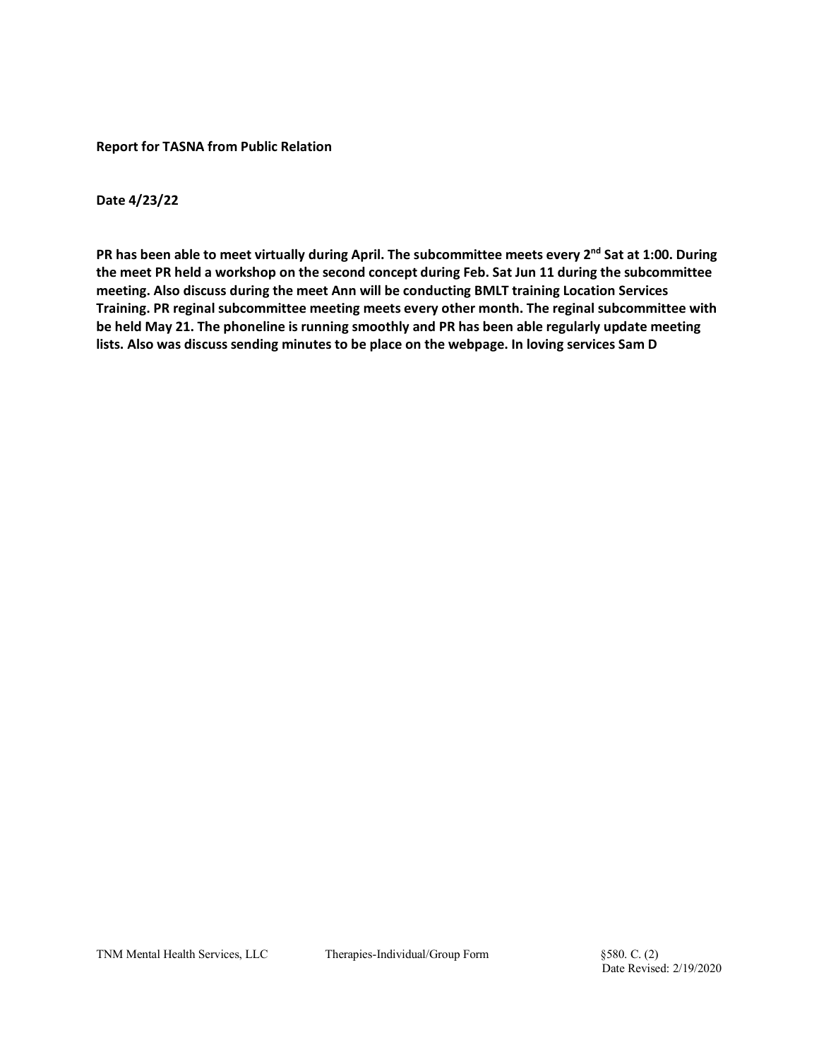**Report for TASNA from Public Relation** 

**Date 4/23/22**

PR has been able to meet virtually during April. The subcommittee meets every 2<sup>nd</sup> Sat at 1:00. During **the meet PR held a workshop on the second concept during Feb. Sat Jun 11 during the subcommittee meeting. Also discuss during the meet Ann will be conducting BMLT training Location Services Training. PR reginal subcommittee meeting meets every other month. The reginal subcommittee with be held May 21. The phoneline is running smoothly and PR has been able regularly update meeting lists. Also was discuss sending minutes to be place on the webpage. In loving services Sam D**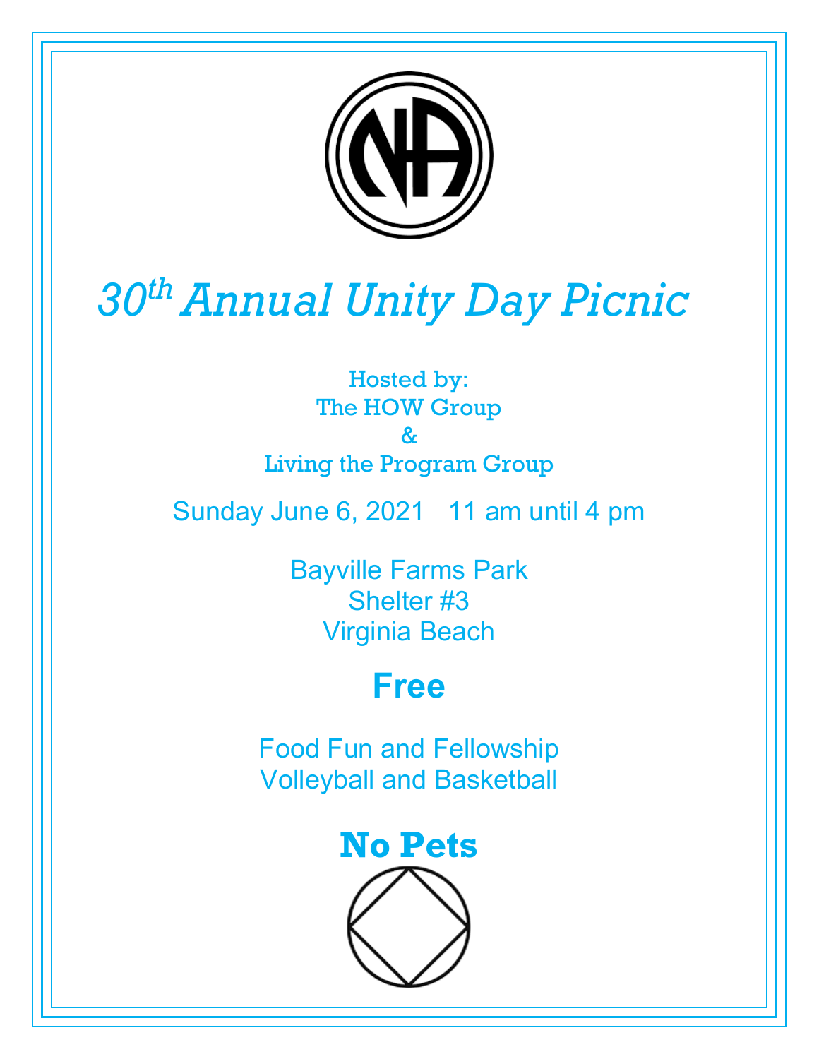

# *30th Annual Unity Day Picnic*

Hosted by: The HOW Group & Living the Program Group

Sunday June 6, 2021 11 am until 4 pm

Bayville Farms Park Shelter #3 Virginia Beach

## **Free**

Food Fun and Fellowship Volleyball and Basketball